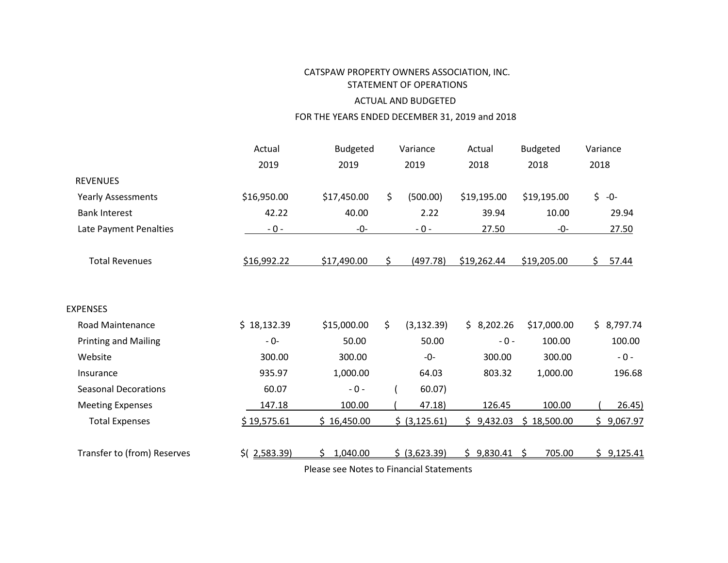# CATSPAW PROPERTY OWNERS ASSOCIATION, INC. STATEMENT OF OPERATIONS ACTUAL AND BUDGETED

# FOR THE YEARS ENDED DECEMBER 31, 2019 and 2018

|                             | Actual             | <b>Budgeted</b>                                 |    | Variance       | Actual          | <b>Budgeted</b> | Variance |            |
|-----------------------------|--------------------|-------------------------------------------------|----|----------------|-----------------|-----------------|----------|------------|
|                             | 2019               | 2019                                            |    | 2019           | 2018            | 2018            | 2018     |            |
| <b>REVENUES</b>             |                    |                                                 |    |                |                 |                 |          |            |
| <b>Yearly Assessments</b>   | \$16,950.00        | \$17,450.00                                     | \$ | (500.00)       | \$19,195.00     | \$19,195.00     |          | $$ -0-$    |
| <b>Bank Interest</b>        | 42.22              | 40.00                                           |    | 2.22           | 39.94           | 10.00           |          | 29.94      |
| Late Payment Penalties      | $-0-$              | $-0-$                                           |    | $-0-$          | 27.50           | -0-             |          | 27.50      |
| <b>Total Revenues</b>       | \$16,992.22        | \$17,490.00                                     | Ś. | (497.78)       | \$19,262.44     | \$19,205.00     | Ś.       | 57.44      |
| <b>EXPENSES</b>             |                    |                                                 |    |                |                 |                 |          |            |
| <b>Road Maintenance</b>     | \$18,132.39        | \$15,000.00                                     | \$ | (3, 132.39)    | \$3,202.26      | \$17,000.00     |          | \$8,797.74 |
| <b>Printing and Mailing</b> | - 0-               | 50.00                                           |    | 50.00          | $-0-$           | 100.00          |          | 100.00     |
| Website                     | 300.00             | 300.00                                          |    | -0-            | 300.00          | 300.00          |          | $-0-$      |
| Insurance                   | 935.97             | 1,000.00                                        |    | 64.03          | 803.32          | 1,000.00        |          | 196.68     |
| <b>Seasonal Decorations</b> | 60.07              | $-0 -$                                          |    | 60.07)         |                 |                 |          |            |
| <b>Meeting Expenses</b>     | 147.18             | 100.00                                          |    | 47.18)         | 126.45          | 100.00          |          | 26.45)     |
| <b>Total Expenses</b>       | \$19,575.61        | \$16,450.00                                     |    | \$ (3, 125.61) | 9,432.03<br>\$. | \$18,500.00     | S.       | 9,067.97   |
| Transfer to (from) Reserves | $$$ ( $2,583.39$ ) | 1,040.00                                        |    | \$ (3,623.39)  | 9,830.41<br>ς.  | -Ś<br>705.00    |          | \$9,125.41 |
|                             |                    | <b>Plance see Notes to Einancial Statements</b> |    |                |                 |                 |          |            |

Please see Notes to Financial Statements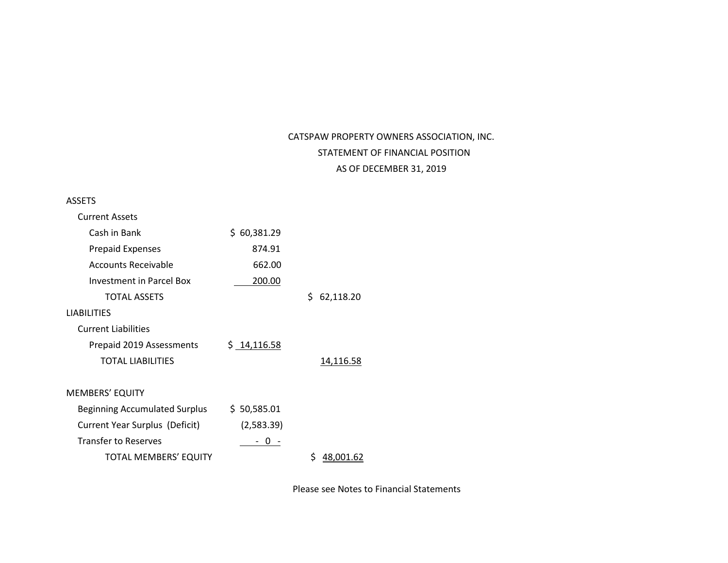# CATSPAW PROPERTY OWNERS ASSOCIATION, INC. STATEMENT OF FINANCIAL POSITION AS OF DECEMBER 31, 2019

#### ASSETS

| <b>Current Assets</b>                |                 |                  |
|--------------------------------------|-----------------|------------------|
| Cash in Bank                         | 60,381.29<br>S. |                  |
| <b>Prepaid Expenses</b>              | 874.91          |                  |
| Accounts Receivable                  | 662.00          |                  |
| Investment in Parcel Box             | 200.00          |                  |
| TOTAL ASSETS                         |                 | \$.<br>62,118.20 |
| <b>LIABILITIES</b>                   |                 |                  |
| <b>Current Liabilities</b>           |                 |                  |
| Prepaid 2019 Assessments             | \$14,116.58     |                  |
| <b>TOTAL LIABILITIES</b>             |                 | 14,116.58        |
|                                      |                 |                  |
| <b>MEMBERS' EQUITY</b>               |                 |                  |
| <b>Beginning Accumulated Surplus</b> | \$50,585.01     |                  |
| Current Year Surplus (Deficit)       | (2,583.39)      |                  |
| <b>Transfer to Reserves</b>          |                 |                  |
| TOTAL MEMBERS' EQUITY                |                 | 48.001.62        |

Please see Notes to Financial Statements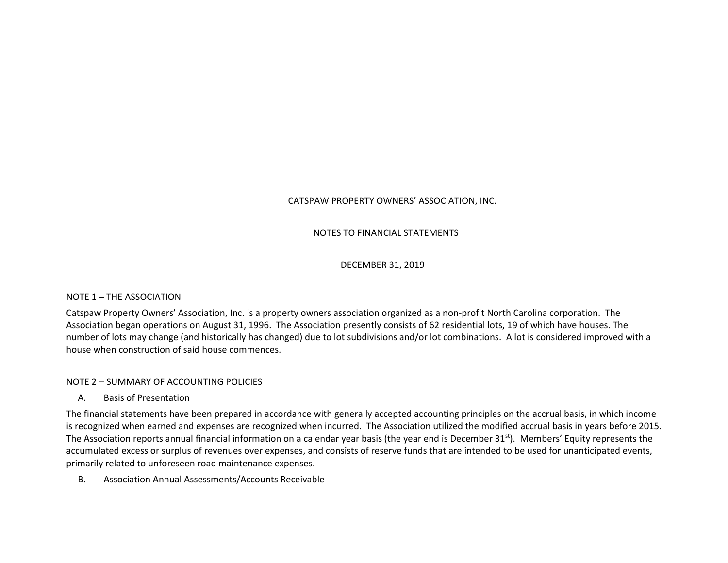# CATSPAW PROPERTY OWNERS' ASSOCIATION, INC.

## NOTES TO FINANCIAL STATEMENTS

#### DECEMBER 31, 2019

#### NOTE 1 – THE ASSOCIATION

Catspaw Property Owners' Association, Inc. is a property owners association organized as a non-profit North Carolina corporation. The Association began operations on August 31, 1996. The Association presently consists of 62 residential lots, 19 of which have houses. The number of lots may change (and historically has changed) due to lot subdivisions and/or lot combinations. A lot is considered improved with a house when construction of said house commences.

#### NOTE 2 – SUMMARY OF ACCOUNTING POLICIES

A. Basis of Presentation

The financial statements have been prepared in accordance with generally accepted accounting principles on the accrual basis, in which income is recognized when earned and expenses are recognized when incurred. The Association utilized the modified accrual basis in years before 2015. The Association reports annual financial information on a calendar year basis (the year end is December 31<sup>st</sup>). Members' Equity represents the accumulated excess or surplus of revenues over expenses, and consists of reserve funds that are intended to be used for unanticipated events, primarily related to unforeseen road maintenance expenses.

B. Association Annual Assessments/Accounts Receivable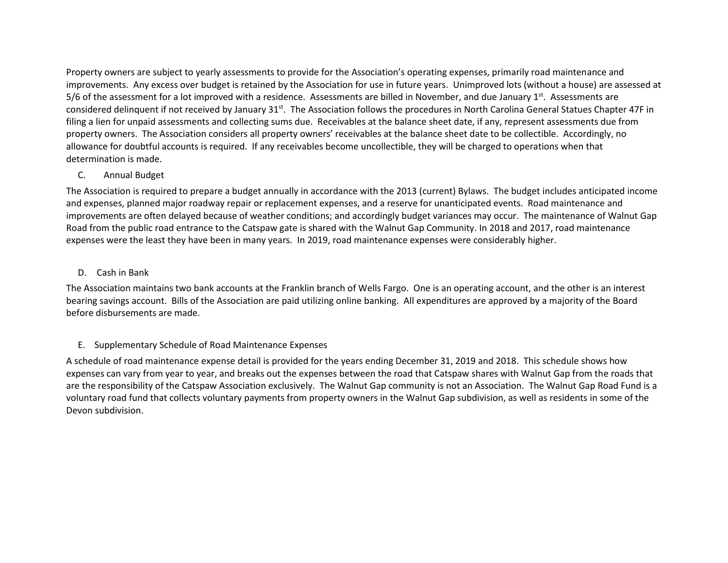Property owners are subject to yearly assessments to provide for the Association's operating expenses, primarily road maintenance and improvements. Any excess over budget is retained by the Association for use in future years. Unimproved lots (without a house) are assessed at 5/6 of the assessment for a lot improved with a residence. Assessments are billed in November, and due January  $1<sup>st</sup>$ . Assessments are considered delinquent if not received by January 31st. The Association follows the procedures in North Carolina General Statues Chapter 47F in filing a lien for unpaid assessments and collecting sums due. Receivables at the balance sheet date, if any, represent assessments due from property owners. The Association considers all property owners' receivables at the balance sheet date to be collectible. Accordingly, no allowance for doubtful accounts is required. If any receivables become uncollectible, they will be charged to operations when that determination is made.

## C. Annual Budget

The Association is required to prepare a budget annually in accordance with the 2013 (current) Bylaws. The budget includes anticipated income and expenses, planned major roadway repair or replacement expenses, and a reserve for unanticipated events. Road maintenance and improvements are often delayed because of weather conditions; and accordingly budget variances may occur. The maintenance of Walnut Gap Road from the public road entrance to the Catspaw gate is shared with the Walnut Gap Community. In 2018 and 2017, road maintenance expenses were the least they have been in many years. In 2019, road maintenance expenses were considerably higher.

## D. Cash in Bank

The Association maintains two bank accounts at the Franklin branch of Wells Fargo. One is an operating account, and the other is an interest bearing savings account. Bills of the Association are paid utilizing online banking. All expenditures are approved by a majority of the Board before disbursements are made.

# E. Supplementary Schedule of Road Maintenance Expenses

A schedule of road maintenance expense detail is provided for the years ending December 31, 2019 and 2018. This schedule shows how expenses can vary from year to year, and breaks out the expenses between the road that Catspaw shares with Walnut Gap from the roads that are the responsibility of the Catspaw Association exclusively. The Walnut Gap community is not an Association. The Walnut Gap Road Fund is a voluntary road fund that collects voluntary payments from property owners in the Walnut Gap subdivision, as well as residents in some of the Devon subdivision.